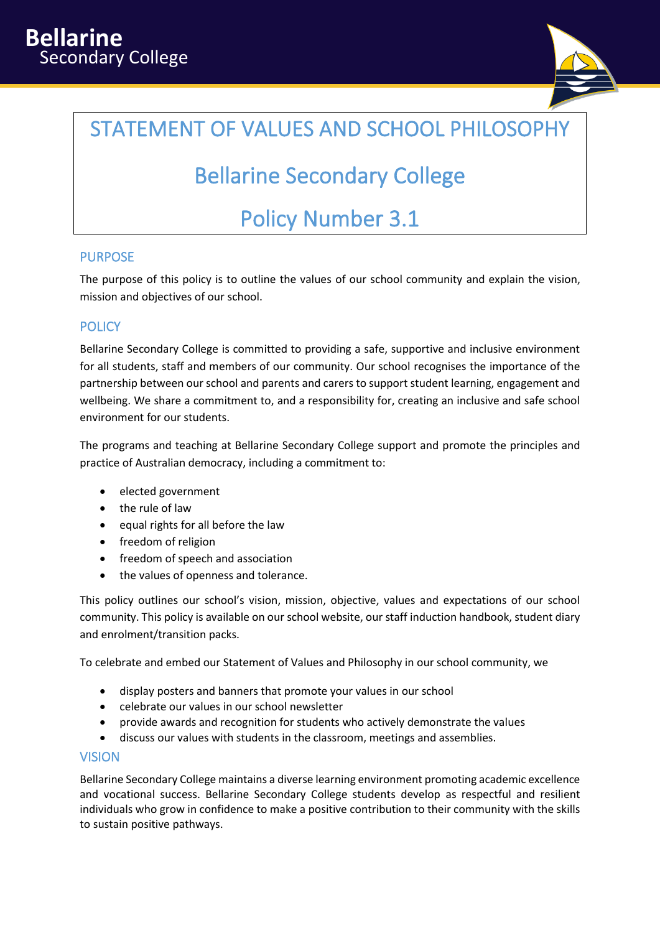

# STATEMENT OF VALUES AND SCHOOL PHILOSOPHY

# Bellarine Secondary College

# Policy Number 3.1

### PURPOSE

The purpose of this policy is to outline the values of our school community and explain the vision, mission and objectives of our school.

### **POLICY**

Bellarine Secondary College is committed to providing a safe, supportive and inclusive environment for all students, staff and members of our community. Our school recognises the importance of the partnership between our school and parents and carers to support student learning, engagement and wellbeing. We share a commitment to, and a responsibility for, creating an inclusive and safe school environment for our students.

The programs and teaching at Bellarine Secondary College support and promote the principles and practice of Australian democracy, including a commitment to:

- elected government
- the rule of law
- equal rights for all before the law
- freedom of religion
- freedom of speech and association
- the values of openness and tolerance.

This policy outlines our school's vision, mission, objective, values and expectations of our school community. This policy is available on our school website, our staff induction handbook, student diary and enrolment/transition packs.

To celebrate and embed our Statement of Values and Philosophy in our school community, we

- display posters and banners that promote your values in our school
- celebrate our values in our school newsletter
- provide awards and recognition for students who actively demonstrate the values
- discuss our values with students in the classroom, meetings and assemblies.

#### VISION

Bellarine Secondary College maintains a diverse learning environment promoting academic excellence and vocational success. Bellarine Secondary College students develop as respectful and resilient individuals who grow in confidence to make a positive contribution to their community with the skills to sustain positive pathways.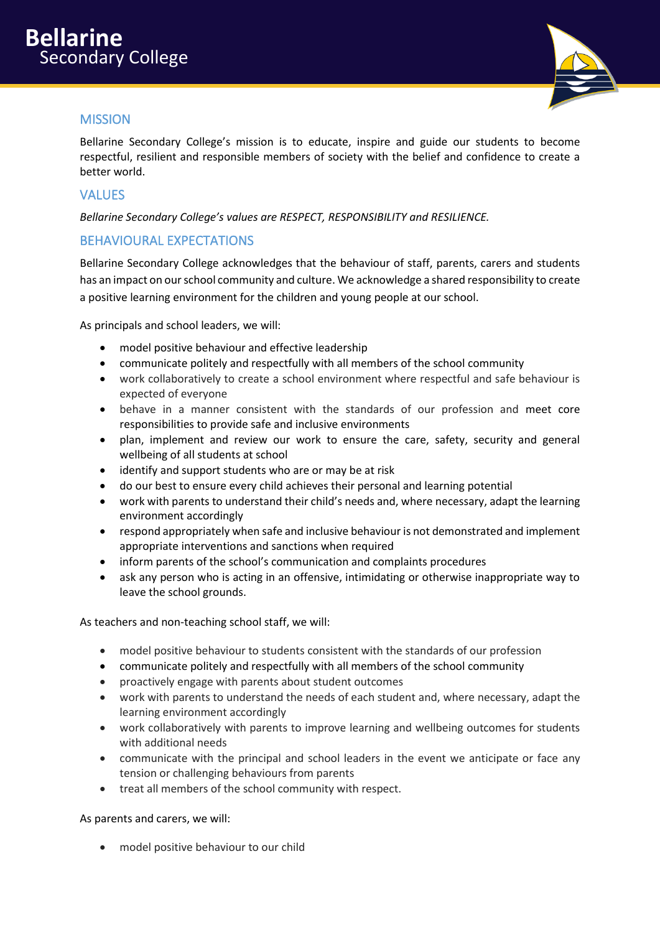

## MISSION

Bellarine Secondary College's mission is to educate, inspire and guide our students to become respectful, resilient and responsible members of society with the belief and confidence to create a better world.

### **VALUES**

*Bellarine Secondary College's values are RESPECT, RESPONSIBILITY and RESILIENCE.*

### BEHAVIOURAL EXPECTATIONS

Bellarine Secondary College acknowledges that the behaviour of staff, parents, carers and students has an impact on our school community and culture. We acknowledge a shared responsibility to create a positive learning environment for the children and young people at our school.

As principals and school leaders, we will:

- model positive behaviour and effective leadership
- communicate politely and respectfully with all members of the school community
- work collaboratively to create a school environment where respectful and safe behaviour is expected of everyone
- behave in a manner consistent with the standards of our profession and meet core responsibilities to provide safe and inclusive environments
- plan, implement and review our work to ensure the care, safety, security and general wellbeing of all students at school
- identify and support students who are or may be at risk
- do our best to ensure every child achieves their personal and learning potential
- work with parents to understand their child's needs and, where necessary, adapt the learning environment accordingly
- respond appropriately when safe and inclusive behaviour is not demonstrated and implement appropriate interventions and sanctions when required
- inform parents of the school's communication and complaints procedures
- ask any person who is acting in an offensive, intimidating or otherwise inappropriate way to leave the school grounds.

As teachers and non-teaching school staff, we will:

- model positive behaviour to students consistent with the standards of our profession
- communicate politely and respectfully with all members of the school community
- proactively engage with parents about student outcomes
- work with parents to understand the needs of each student and, where necessary, adapt the learning environment accordingly
- work collaboratively with parents to improve learning and wellbeing outcomes for students with additional needs
- communicate with the principal and school leaders in the event we anticipate or face any tension or challenging behaviours from parents
- treat all members of the school community with respect.

As parents and carers, we will:

• model positive behaviour to our child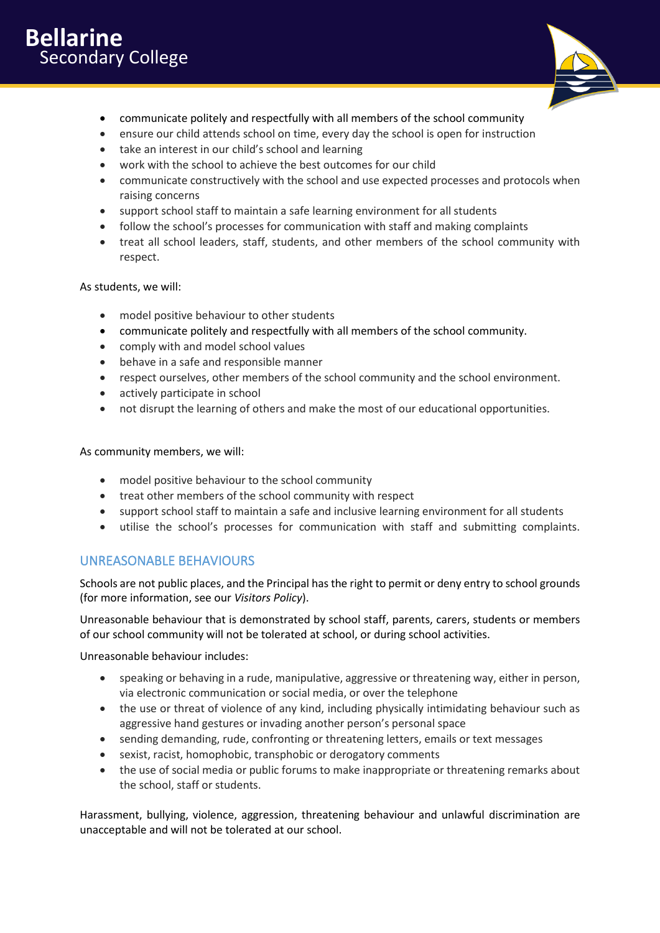

- communicate politely and respectfully with all members of the school community
- ensure our child attends school on time, every day the school is open for instruction
- take an interest in our child's school and learning
- work with the school to achieve the best outcomes for our child
- communicate constructively with the school and use expected processes and protocols when raising concerns
- support school staff to maintain a safe learning environment for all students
- follow the school's processes for communication with staff and making complaints
- treat all school leaders, staff, students, and other members of the school community with respect.

#### As students, we will:

- model positive behaviour to other students
- communicate politely and respectfully with all members of the school community.
- comply with and model school values
- behave in a safe and responsible manner
- respect ourselves, other members of the school community and the school environment.
- actively participate in school
- not disrupt the learning of others and make the most of our educational opportunities.

As community members, we will:

- model positive behaviour to the school community
- treat other members of the school community with respect
- support school staff to maintain a safe and inclusive learning environment for all students
- utilise the school's processes for communication with staff and submitting complaints.

### UNREASONABLE BEHAVIOURS

Schools are not public places, and the Principal has the right to permit or deny entry to school grounds (for more information, see our *Visitors Policy*).

Unreasonable behaviour that is demonstrated by school staff, parents, carers, students or members of our school community will not be tolerated at school, or during school activities.

Unreasonable behaviour includes:

- speaking or behaving in a rude, manipulative, aggressive or threatening way, either in person, via electronic communication or social media, or over the telephone
- the use or threat of violence of any kind, including physically intimidating behaviour such as aggressive hand gestures or invading another person's personal space
- sending demanding, rude, confronting or threatening letters, emails or text messages
- sexist, racist, homophobic, transphobic or derogatory comments
- the use of social media or public forums to make inappropriate or threatening remarks about the school, staff or students.

Harassment, bullying, violence, aggression, threatening behaviour and unlawful discrimination are unacceptable and will not be tolerated at our school.